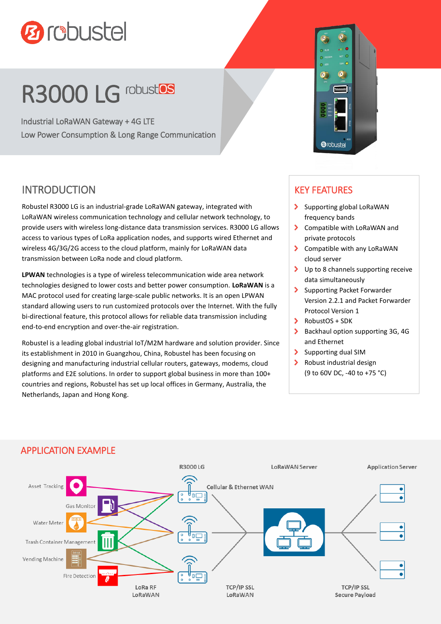

# R3000 LG robustos

Industrial LoRaWAN Gateway + 4G LTE Low Power Consumption & Long Range Communication

## INTRODUCTION

Robustel R3000 LG is an industrial-grade LoRaWAN gateway, integrated with LoRaWAN wireless communication technology and cellular network technology, to provide users with wireless long-distance data transmission services. R3000 LG allows access to various types of LoRa application nodes, and supports wired Ethernet and wireless 4G/3G/2G access to the cloud platform, mainly for LoRaWAN data transmission between LoRa node and cloud platform.

**LPWAN** technologies is a type of wireless telecommunication wide area network technologies designed to lower costs and better power consumption. **LoRaWAN** is a MAC protocol used for creating large-scale public networks. It is an open LPWAN standard allowing users to run customized protocols over the Internet. With the fully bi-directional feature, this protocol allows for reliable data transmission including end-to-end encryption and over-the-air registration.

Robustel is a leading global industrial IoT/M2M hardware and solution provider. Since its establishment in 2010 in Guangzhou, China, Robustel has been focusing on designing and manufacturing industrial cellular routers, gateways, modems, cloud platforms and E2E solutions. In order to support global business in more than 100+ countries and regions, Robustel has set up local offices in Germany, Australia, the Netherlands, Japan and Hong Kong.

#### KEY FEATURES

**Ørobustel** 

- Supporting global LoRaWAN frequency bands
- > Compatible with LoRaWAN and private protocols
- > Compatible with any LoRaWAN cloud server
- > Up to 8 channels supporting receive data simultaneously
- Supporting Packet Forwarder Version 2.2.1 and Packet Forwarder Protocol Version 1
- $\blacktriangleright$  RobustOS + SDK
- Backhaul option supporting 3G, 4G and Ethernet
- Supporting dual SIM
- $\blacktriangleright$ Robust industrial design (9 to 60V DC, -40 to +75 °C)



#### APPLICATION EXAMPLE